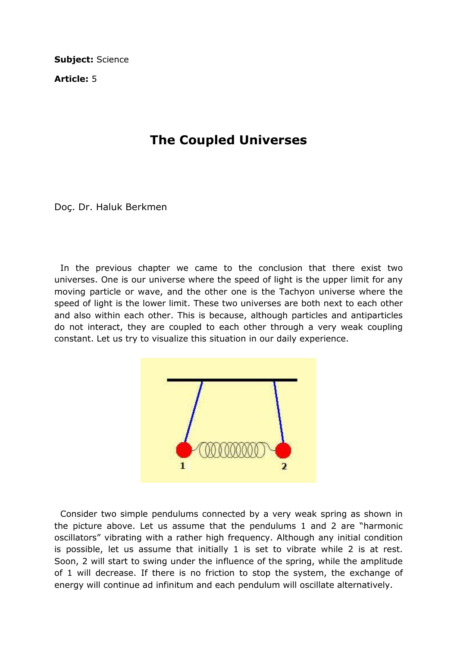Subject: Science

Article: 5

## The Coupled Universes

Doç. Dr. Haluk Berkmen

 In the previous chapter we came to the conclusion that there exist two universes. One is our universe where the speed of light is the upper limit for any moving particle or wave, and the other one is the Tachyon universe where the speed of light is the lower limit. These two universes are both next to each other and also within each other. This is because, although particles and antiparticles do not interact, they are coupled to each other through a very weak coupling constant. Let us try to visualize this situation in our daily experience.



 Consider two simple pendulums connected by a very weak spring as shown in the picture above. Let us assume that the pendulums 1 and 2 are "harmonic oscillators" vibrating with a rather high frequency. Although any initial condition is possible, let us assume that initially 1 is set to vibrate while 2 is at rest. Soon, 2 will start to swing under the influence of the spring, while the amplitude of 1 will decrease. If there is no friction to stop the system, the exchange of energy will continue ad infinitum and each pendulum will oscillate alternatively.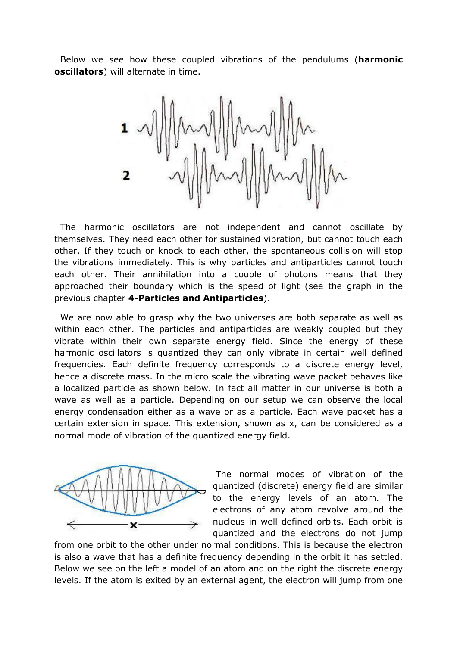Below we see how these coupled vibrations of the pendulums (harmonic oscillators) will alternate in time.



 The harmonic oscillators are not independent and cannot oscillate by themselves. They need each other for sustained vibration, but cannot touch each other. If they touch or knock to each other, the spontaneous collision will stop the vibrations immediately. This is why particles and antiparticles cannot touch each other. Their annihilation into a couple of photons means that they approached their boundary which is the speed of light (see the graph in the previous chapter 4-Particles and Antiparticles).

 We are now able to grasp why the two universes are both separate as well as within each other. The particles and antiparticles are weakly coupled but they vibrate within their own separate energy field. Since the energy of these harmonic oscillators is quantized they can only vibrate in certain well defined frequencies. Each definite frequency corresponds to a discrete energy level, hence a discrete mass. In the micro scale the vibrating wave packet behaves like a localized particle as shown below. In fact all matter in our universe is both a wave as well as a particle. Depending on our setup we can observe the local energy condensation either as a wave or as a particle. Each wave packet has a certain extension in space. This extension, shown as x, can be considered as a normal mode of vibration of the quantized energy field.



 The normal modes of vibration of the quantized (discrete) energy field are similar to the energy levels of an atom. The electrons of any atom revolve around the nucleus in well defined orbits. Each orbit is quantized and the electrons do not jump

from one orbit to the other under normal conditions. This is because the electron is also a wave that has a definite frequency depending in the orbit it has settled. Below we see on the left a model of an atom and on the right the discrete energy levels. If the atom is exited by an external agent, the electron will jump from one